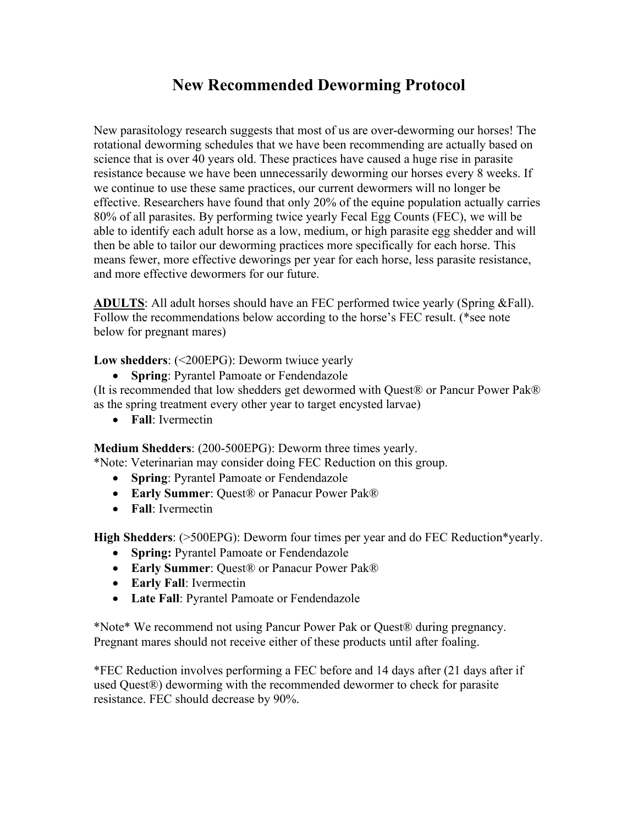## **New Recommended Deworming Protocol**

New parasitology research suggests that most of us are over-deworming our horses! The rotational deworming schedules that we have been recommending are actually based on science that is over 40 years old. These practices have caused a huge rise in parasite resistance because we have been unnecessarily deworming our horses every 8 weeks. If we continue to use these same practices, our current dewormers will no longer be effective. Researchers have found that only 20% of the equine population actually carries 80% of all parasites. By performing twice yearly Fecal Egg Counts (FEC), we will be able to identify each adult horse as a low, medium, or high parasite egg shedder and will then be able to tailor our deworming practices more specifically for each horse. This means fewer, more effective deworings per year for each horse, less parasite resistance, and more effective dewormers for our future.

**ADULTS**: All adult horses should have an FEC performed twice yearly (Spring &Fall). Follow the recommendations below according to the horse's FEC result. (\*see note below for pregnant mares)

**Low shedders**: (<200EPG): Deworm twiuce yearly

• **Spring**: Pyrantel Pamoate or Fendendazole

(It is recommended that low shedders get dewormed with Quest® or Pancur Power Pak® as the spring treatment every other year to target encysted larvae)

• **Fall**: Ivermectin

**Medium Shedders**: (200-500EPG): Deworm three times yearly.

\*Note: Veterinarian may consider doing FEC Reduction on this group.

- **Spring**: Pyrantel Pamoate or Fendendazole
- **Early Summer**: Quest® or Panacur Power Pak®
- **Fall**: Ivermectin

**High Shedders**: (>500EPG): Deworm four times per year and do FEC Reduction\*yearly.

- **Spring:** Pyrantel Pamoate or Fendendazole
- **Early Summer**: Quest® or Panacur Power Pak®
- **Early Fall**: Ivermectin
- **Late Fall**: Pyrantel Pamoate or Fendendazole

\*Note\* We recommend not using Pancur Power Pak or Quest® during pregnancy. Pregnant mares should not receive either of these products until after foaling.

\*FEC Reduction involves performing a FEC before and 14 days after (21 days after if used Quest®) deworming with the recommended dewormer to check for parasite resistance. FEC should decrease by 90%.